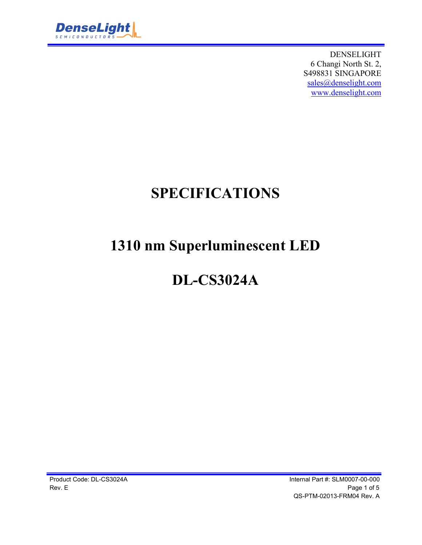

DENSELIGHT 6 Changi North St. 2, S498831 SINGAPORE sales@denselight.com www.denselight.com

# **SPECIFICATIONS**

# **1310 nm Superluminescent LED**

# **DL-CS3024A**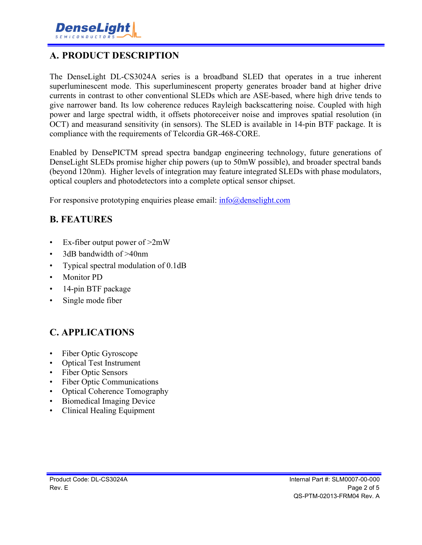### **A. PRODUCT DESCRIPTION**

The DenseLight DL-CS3024A series is a broadband SLED that operates in a true inherent superluminescent mode. This superluminescent property generates broader band at higher drive currents in contrast to other conventional SLEDs which are ASE-based, where high drive tends to give narrower band. Its low coherence reduces Rayleigh backscattering noise. Coupled with high power and large spectral width, it offsets photoreceiver noise and improves spatial resolution (in OCT) and measurand sensitivity (in sensors). The SLED is available in 14-pin BTF package. It is compliance with the requirements of Telcordia GR-468-CORE.

Enabled by DensePICTM spread spectra bandgap engineering technology, future generations of DenseLight SLEDs promise higher chip powers (up to 50mW possible), and broader spectral bands (beyond 120nm). Higher levels of integration may feature integrated SLEDs with phase modulators, optical couplers and photodetectors into a complete optical sensor chipset.

For responsive prototyping enquiries please email:  $info@density$ 

#### **B. FEATURES**

- Ex-fiber output power of  $>2mW$
- 3dB bandwidth of >40nm
- Typical spectral modulation of 0.1dB
- Monitor PD
- 14-pin BTF package
- Single mode fiber

## **C. APPLICATIONS**

- Fiber Optic Gyroscope
- Optical Test Instrument
- Fiber Optic Sensors
- Fiber Optic Communications
- Optical Coherence Tomography
- Biomedical Imaging Device
- Clinical Healing Equipment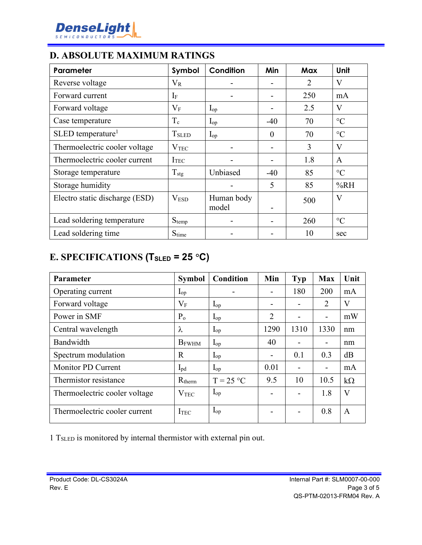

#### **D. ABSOLUTE MAXIMUM RATINGS**

| Parameter                       | Symbol                   | Condition           | Min      | Max            | Unit            |
|---------------------------------|--------------------------|---------------------|----------|----------------|-----------------|
| Reverse voltage                 | $V_{R}$                  |                     |          | $\overline{2}$ | V               |
| Forward current                 | $I_{\rm F}$              |                     |          | 250            | mA              |
| Forward voltage                 | $\rm V_F$                | $I_{op}$            |          | 2.5            | V               |
| Case temperature                | $T_c$                    | $I_{op}$            | $-40$    | 70             | $\rm ^{\circ}C$ |
| $SLED$ temperature <sup>1</sup> | <b>T</b> <sub>SLED</sub> | $I_{op}$            | $\theta$ | 70             | $\rm ^{\circ}C$ |
| Thermoelectric cooler voltage   | V <sub>TEC</sub>         |                     |          | 3              | V               |
| Thermoelectric cooler current   | I <sub>TEC</sub>         |                     |          | 1.8            | $\mathbf{A}$    |
| Storage temperature             | $T_{\text{stg}}$         | Unbiased            | $-40$    | 85             | $\rm ^{\circ}C$ |
| Storage humidity                |                          |                     | 5        | 85             | %RH             |
| Electro static discharge (ESD)  | V <sub>ESD</sub>         | Human body<br>model |          | 500            | V               |
| Lead soldering temperature      | $S_{temp}$               |                     |          | 260            | $\rm ^{\circ}C$ |
| Lead soldering time             | $S_{time}$               |                     |          | 10             | sec             |

## **E. SPECIFICATIONS (TSLED = 25 C)**

| <b>Parameter</b>              | <b>Symbol</b>            | Condition         | Min                      | Typ  | <b>Max</b>                   | Unit      |
|-------------------------------|--------------------------|-------------------|--------------------------|------|------------------------------|-----------|
| Operating current             | $\mathbf{I}_{\text{op}}$ |                   |                          | 180  | 200                          | mA        |
| Forward voltage               | $\rm V_F$                | $I_{op}$          | $\overline{\phantom{a}}$ |      | $\overline{2}$               | V         |
| Power in SMF                  | $P_{o}$                  | $I_{op}$          | $\overline{2}$           |      | $\qquad \qquad \blacksquare$ | mW        |
| Central wavelength            | λ                        | $I_{op}$          | 1290                     | 1310 | 1330                         | nm        |
| Bandwidth                     | <b>B</b> FWHM            | $I_{op}$          | 40                       |      | $\overline{\phantom{a}}$     | nm        |
| Spectrum modulation           | $\mathbf R$              | $I_{op}$          | $\overline{a}$           | 0.1  | 0.3                          | dB        |
| <b>Monitor PD Current</b>     | $I_{\rm pd}$             | $I_{op}$          | 0.01                     |      | $\blacksquare$               | mA        |
| Thermistor resistance         | $R_{therm}$              | $T = 25 °C$       | 9.5                      | 10   | 10.5                         | $k\Omega$ |
| Thermoelectric cooler voltage | $\rm V_{TEC}$            | $\mathbf{I}_{op}$ |                          |      | 1.8                          | V         |
| Thermoelectric cooler current | ITEC                     | $I_{op}$          |                          |      | 0.8                          | A         |

1 TSLED is monitored by internal thermistor with external pin out.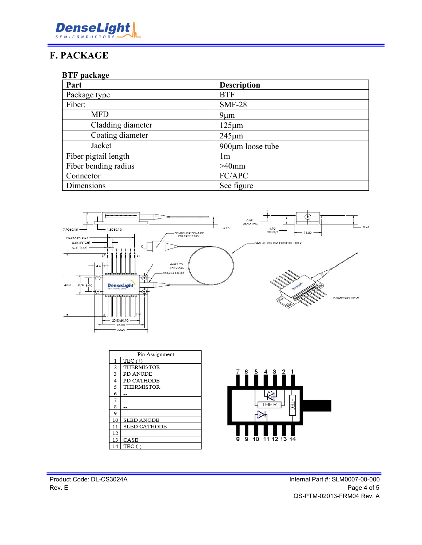

### **F. PACKAGE**

#### **BTF package**

| Part                 | <b>Description</b> |
|----------------------|--------------------|
| Package type         | <b>BTF</b>         |
| Fiber:               | <b>SMF-28</b>      |
| <b>MFD</b>           | $9 \mu m$          |
| Cladding diameter    | $125 \mu m$        |
| Coating diameter     | $245 \mu m$        |
| Jacket               | 900µm loose tube   |
| Fiber pigtail length | 1 <sub>m</sub>     |
| Fiber bending radius | $>40$ mm           |
| Connector            | FC/APC             |
| Dimensions           | See figure         |



| Pin Assignment |                   |
|----------------|-------------------|
| 1              | $TEC (+)$         |
| 2              | <b>THERMISTOR</b> |
| 3              | PD ANODE          |
| 4              | PD CATHODE        |
| 5              | <b>THERMISTOR</b> |
| 6              |                   |
| 7              |                   |
| 8              |                   |
| 9              |                   |
| 10             | <b>SLED ANODE</b> |
| 11             | SLED CATHODE      |
| 12             |                   |
| 13             | CASE              |
| 14             | $TEC$ (-)         |